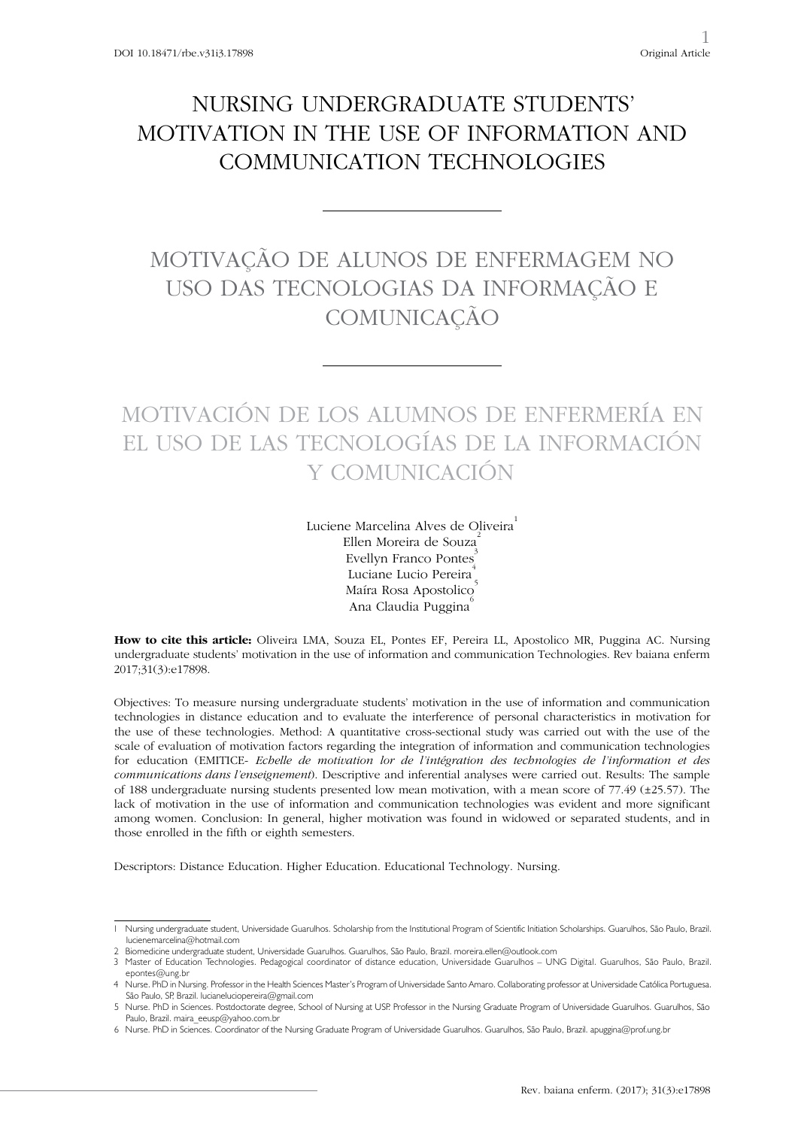## NURSING UNDERGRADUATE STUDENTS' MOTIVATION IN THE USE OF INFORMATION AND COMMUNICATION TECHNOLOGIES

### MOTIVAÇÃO DE ALUNOS DE ENFERMAGEM NO USO DAS TECNOLOGIAS DA INFORMAÇÃO E **COMUNICAÇÃO**

# MOTIVACIÓN DE LOS ALUMNOS DE ENFERMERÍA EN EL USO DE LAS TECNOLOGÍAS DE LA INFORMACIÓN Y COMUNICACIÓN

Luciene Marcelina Alves de Oliveira Ellen Moreira de Souza<sup>2</sup> Evellyn Franco Pontes<sup>3</sup> Luciane Lucio Pereira<sup>1</sup> Maíra Rosa Apostolico<sup>®</sup> Ana Claudia Puggina<sup>6</sup>

**How to cite this article:** Oliveira LMA, Souza EL, Pontes EF, Pereira LL, Apostolico MR, Puggina AC. Nursing undergraduate students' motivation in the use of information and communication Technologies. Rev baiana enferm 2017;31(3):e17898.

Objectives: To measure nursing undergraduate students' motivation in the use of information and communication technologies in distance education and to evaluate the interference of personal characteristics in motivation for the use of these technologies. Method: A quantitative cross-sectional study was carried out with the use of the scale of evaluation of motivation factors regarding the integration of information and communication technologies for education (EMITICE- *Echelle de motivation lor de l'intégration des technologies de l'information et des communications dans l'enseignement*). Descriptive and inferential analyses were carried out. Results: The sample of 188 undergraduate nursing students presented low mean motivation, with a mean score of 77.49 (±25.57). The lack of motivation in the use of information and communication technologies was evident and more significant among women. Conclusion: In general, higher motivation was found in widowed or separated students, and in those enrolled in the fifth or eighth semesters.

Descriptors: Distance Education. Higher Education. Educational Technology. Nursing.

<sup>1</sup> Nursing undergraduate student, Universidade Guarulhos. Scholarship from the Institutional Program of Scientific Initiation Scholarships. Guarulhos, São Paulo, Brazil. lucienemarcelina@hotmail.com

<sup>2</sup> Biomedicine undergraduate student, Universidade Guarulhos. Guarulhos, São Paulo, Brazil. moreira.ellen@outlook.com

<sup>3</sup> Master of Education Technologies. Pedagogical coordinator of distance education, Universidade Guarulhos – UNG Digital. Guarulhos, São Paulo, Brazil. epontes@ung.br

<sup>4</sup> Nurse. PhD in Nursing. Professor in the Health Sciences Master's Program of Universidade Santo Amaro. Collaborating professor at Universidade Católica Portuguesa. São Paulo, SP, Brazil. lucianeluciopereira@gmail.com

<sup>5</sup> Nurse. PhD in Sciences. Postdoctorate degree, School of Nursing at USP. Professor in the Nursing Graduate Program of Universidade Guarulhos. Guarulhos, São Paulo, Brazil. maira\_eeusp@yahoo.com.br

<sup>6</sup> Nurse. PhD in Sciences. Coordinator of the Nursing Graduate Program of Universidade Guarulhos. Guarulhos, São Paulo, Brazil. apuggina@prof.ung.br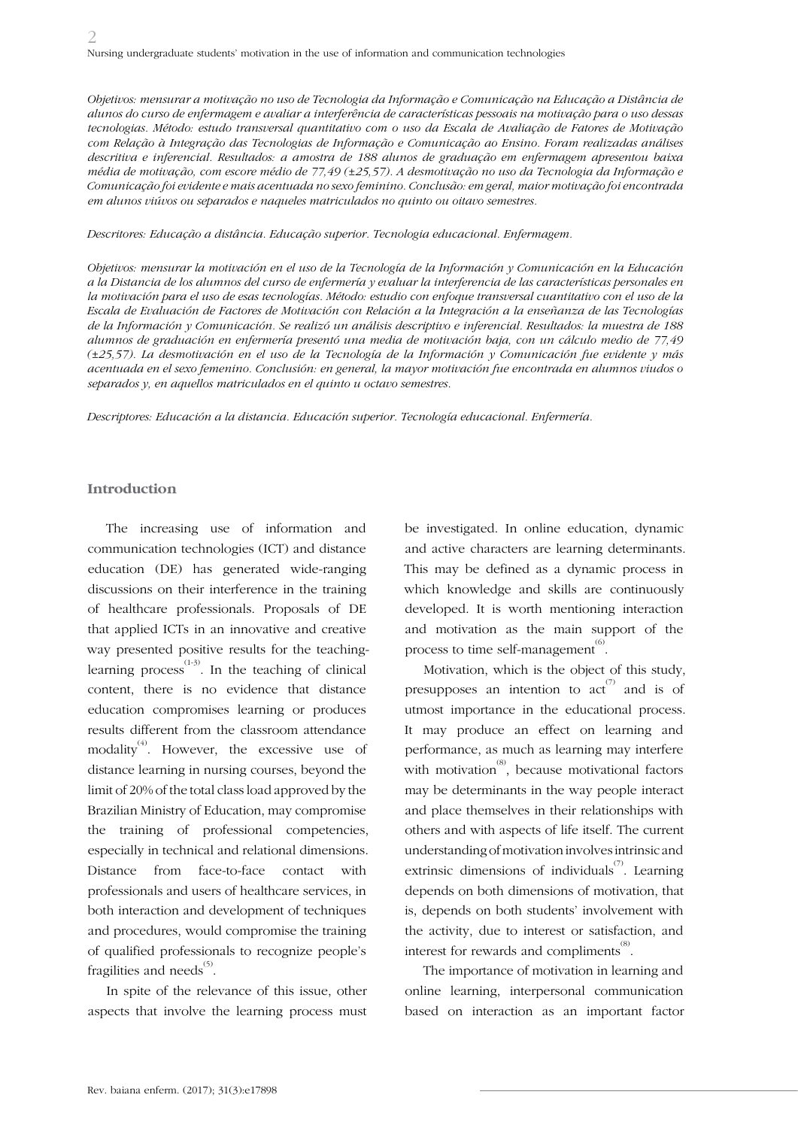*Objetivos: mensurar a motivação no uso de Tecnologia da Informação e Comunicação na Educação a Distância de alunos do curso de enfermagem e avaliar a interferência de características pessoais na motivação para o uso dessas tecnologias. Método: estudo transversal quantitativo com o uso da Escala de Avaliação de Fatores de Motivação com Relação à Integração das Tecnologias de Informação e Comunicação ao Ensino. Foram realizadas análises descritiva e inferencial. Resultados: a amostra de 188 alunos de graduação em enfermagem apresentou baixa média de motivação, com escore médio de 77,49 (±25,57). A desmotivação no uso da Tecnologia da Informação e Comunicação foi evidente e mais acentuada no sexo feminino. Conclusão: em geral, maior motivação foi encontrada em alunos viúvos ou separados e naqueles matriculados no quinto ou oitavo semestres.*

*Descritores: Educação a distância. Educação superior. Tecnologia educacional. Enfermagem.*

*Objetivos: mensurar la motivación en el uso de la Tecnología de la Información y Comunicación en la Educación a la Distancia de los alumnos del curso de enfermería y evaluar la interferencia de las características personales en la motivación para el uso de esas tecnologías. Método: estudio con enfoque transversal cuantitativo con el uso de la Escala de Evaluación de Factores de Motivación con Relación a la Integración a la enseñanza de las Tecnologías de la Información y Comunicación. Se realizó un análisis descriptivo e inferencial. Resultados: la muestra de 188 alumnos de graduación en enfermería presentó una media de motivación baja, con un cálculo medio de 77,49 (±25,57). La desmotivación en el uso de la Tecnología de la Información y Comunicación fue evidente y más acentuada en el sexo femenino. Conclusión: en general, la mayor motivación fue encontrada en alumnos viudos o separados y, en aquellos matriculados en el quinto u octavo semestres.*

*Descriptores: Educación a la distancia. Educación superior. Tecnología educacional. Enfermería.*

### **Introduction**

The increasing use of information and communication technologies (ICT) and distance education (DE) has generated wide-ranging discussions on their interference in the training of healthcare professionals. Proposals of DE that applied ICTs in an innovative and creative way presented positive results for the teachinglearning process<sup> $(1-3)$ </sup>. In the teaching of clinical content, there is no evidence that distance education compromises learning or produces results different from the classroom attendance modality<sup>(4)</sup>. However, the excessive use of distance learning in nursing courses, beyond the limit of 20% of the total class load approved by the Brazilian Ministry of Education, may compromise the training of professional competencies, especially in technical and relational dimensions. Distance from face-to-face contact with professionals and users of healthcare services, in both interaction and development of techniques and procedures, would compromise the training of qualified professionals to recognize people's fragilities and needs $^{\scriptscriptstyle{(5)}}$ .

In spite of the relevance of this issue, other aspects that involve the learning process must

be investigated. In online education, dynamic and active characters are learning determinants. This may be defined as a dynamic process in which knowledge and skills are continuously developed. It is worth mentioning interaction and motivation as the main support of the process to time self-management<sup> $(6)$ </sup>.

Motivation, which is the object of this study, presupposes an intention to act and is of utmost importance in the educational process. It may produce an effect on learning and performance, as much as learning may interfere with motivation<sup>(8)</sup>, because motivational factors may be determinants in the way people interact and place themselves in their relationships with others and with aspects of life itself. The current understanding of motivation involves intrinsic and extrinsic dimensions of individuals<sup> $(7)$ </sup>. Learning depends on both dimensions of motivation, that is, depends on both students' involvement with the activity, due to interest or satisfaction, and interest for rewards and compliments<sup>(8)</sup>.

The importance of motivation in learning and online learning, interpersonal communication based on interaction as an important factor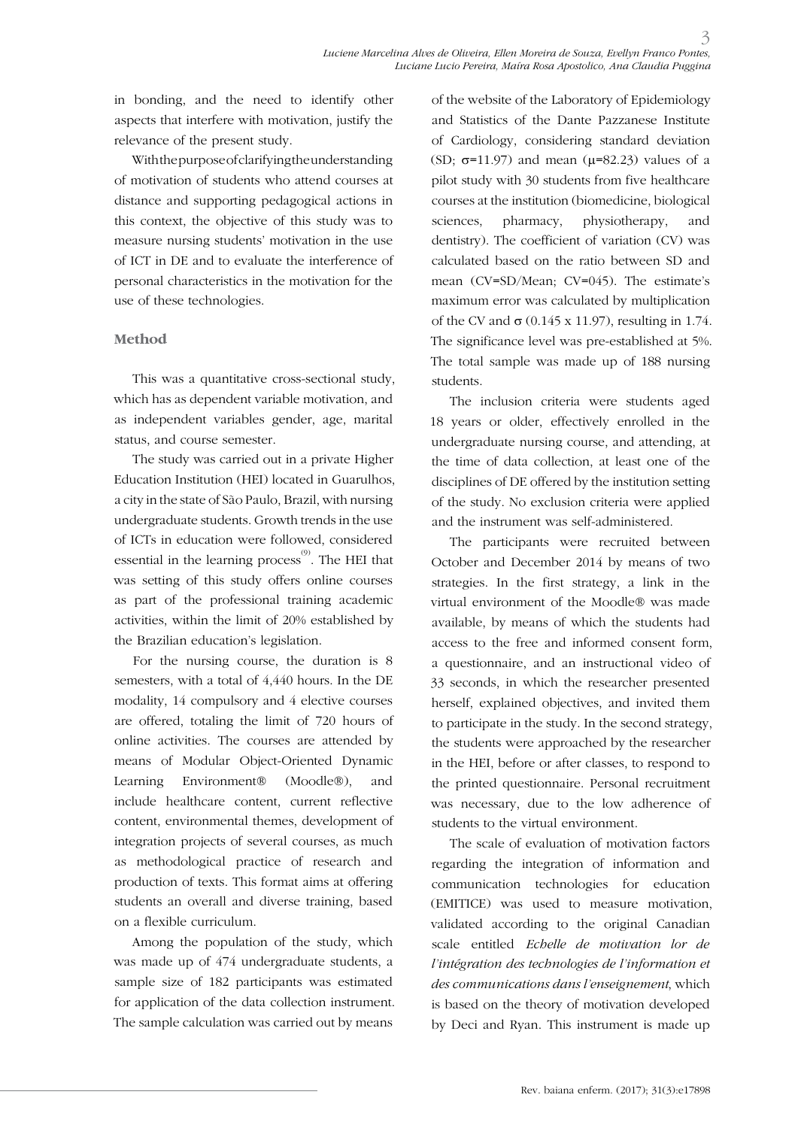in bonding, and the need to identify other aspects that interfere with motivation, justify the relevance of the present study.

With the purpose of clarifying the understanding of motivation of students who attend courses at distance and supporting pedagogical actions in this context, the objective of this study was to measure nursing students' motivation in the use of ICT in DE and to evaluate the interference of personal characteristics in the motivation for the use of these technologies.

### **Method**

This was a quantitative cross-sectional study, which has as dependent variable motivation, and as independent variables gender, age, marital status, and course semester.

The study was carried out in a private Higher Education Institution (HEI) located in Guarulhos, a city in the state of São Paulo, Brazil, with nursing undergraduate students. Growth trends in the use of ICTs in education were followed, considered essential in the learning process<sup>(9)</sup>. The HEI that was setting of this study offers online courses as part of the professional training academic activities, within the limit of 20% established by the Brazilian education's legislation.

For the nursing course, the duration is 8 semesters, with a total of 4,440 hours. In the DE modality, 14 compulsory and 4 elective courses are offered, totaling the limit of 720 hours of online activities. The courses are attended by means of Modular Object-Oriented Dynamic Learning Environment® (Moodle®), and include healthcare content, current reflective content, environmental themes, development of integration projects of several courses, as much as methodological practice of research and production of texts. This format aims at offering students an overall and diverse training, based on a flexible curriculum.

Among the population of the study, which was made up of 474 undergraduate students, a sample size of 182 participants was estimated for application of the data collection instrument. The sample calculation was carried out by means

of the website of the Laboratory of Epidemiology and Statistics of the Dante Pazzanese Institute of Cardiology, considering standard deviation (SD;  $\sigma$ =11.97) and mean ( $\mu$ =82.23) values of a pilot study with 30 students from five healthcare courses at the institution (biomedicine, biological sciences, pharmacy, physiotherapy, and dentistry). The coefficient of variation (CV) was calculated based on the ratio between SD and mean (CV=SD/Mean; CV=045). The estimate's maximum error was calculated by multiplication of the CV and  $\sigma$  (0.145 x 11.97), resulting in 1.74. The significance level was pre-established at 5%. The total sample was made up of 188 nursing students.

The inclusion criteria were students aged 18 years or older, effectively enrolled in the undergraduate nursing course, and attending, at the time of data collection, at least one of the disciplines of DE offered by the institution setting of the study. No exclusion criteria were applied and the instrument was self-administered.

The participants were recruited between October and December 2014 by means of two strategies. In the first strategy, a link in the virtual environment of the Moodle® was made available, by means of which the students had access to the free and informed consent form, a questionnaire, and an instructional video of 33 seconds, in which the researcher presented herself, explained objectives, and invited them to participate in the study. In the second strategy, the students were approached by the researcher in the HEI, before or after classes, to respond to the printed questionnaire. Personal recruitment was necessary, due to the low adherence of students to the virtual environment.

The scale of evaluation of motivation factors regarding the integration of information and communication technologies for education (EMITICE) was used to measure motivation, validated according to the original Canadian scale entitled *Echelle de motivation lor de l'intégration des technologies de l'information et des communications dans l'enseignement*, which is based on the theory of motivation developed by Deci and Ryan. This instrument is made up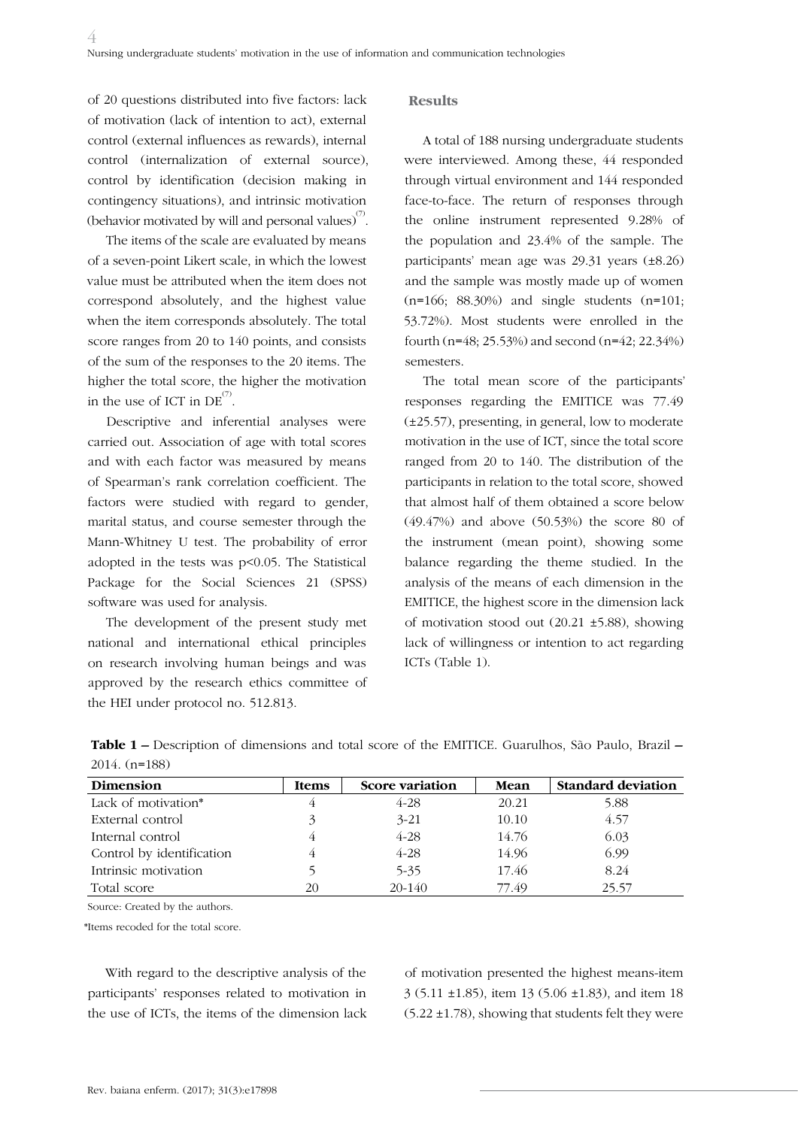of 20 questions distributed into five factors: lack of motivation (lack of intention to act), external control (external influences as rewards), internal control (internalization of external source), control by identification (decision making in contingency situations), and intrinsic motivation (behavior motivated by will and personal values) $^{\text{\tiny{(7)}}}.$ 

The items of the scale are evaluated by means of a seven-point Likert scale, in which the lowest value must be attributed when the item does not correspond absolutely, and the highest value when the item corresponds absolutely. The total score ranges from 20 to 140 points, and consists of the sum of the responses to the 20 items. The higher the total score, the higher the motivation in the use of ICT in  $DE^{(7)}$ .

Descriptive and inferential analyses were carried out. Association of age with total scores and with each factor was measured by means of Spearman's rank correlation coefficient. The factors were studied with regard to gender, marital status, and course semester through the Mann-Whitney U test. The probability of error adopted in the tests was p<0.05. The Statistical Package for the Social Sciences 21 (SPSS) software was used for analysis.

The development of the present study met national and international ethical principles on research involving human beings and was approved by the research ethics committee of the HEI under protocol no. 512.813.

#### **Results**

A total of 188 nursing undergraduate students were interviewed. Among these, 44 responded through virtual environment and 144 responded face-to-face. The return of responses through the online instrument represented 9.28% of the population and 23.4% of the sample. The participants' mean age was 29.31 years (±8.26) and the sample was mostly made up of women  $(n=166; 88.30%)$  and single students  $(n=101;$ 53.72%). Most students were enrolled in the fourth (n=48; 25.53%) and second (n=42; 22.34%) semesters.

The total mean score of the participants' responses regarding the EMITICE was 77.49 (±25.57), presenting, in general, low to moderate motivation in the use of ICT, since the total score ranged from 20 to 140. The distribution of the participants in relation to the total score, showed that almost half of them obtained a score below (49.47%) and above (50.53%) the score 80 of the instrument (mean point), showing some balance regarding the theme studied. In the analysis of the means of each dimension in the EMITICE, the highest score in the dimension lack of motivation stood out (20.21 ±5.88), showing lack of willingness or intention to act regarding ICTs (Table 1).

| <b>Dimension</b>          | <b>Items</b> | Score variation | Mean  | <b>Standard deviation</b> |
|---------------------------|--------------|-----------------|-------|---------------------------|
| Lack of motivation*       |              | $4 - 28$        | 20.21 | 5.88                      |
| External control          | 3            | $3 - 21$        | 10.10 | 4.57                      |
| Internal control          |              | $4 - 28$        | 14.76 | 6.03                      |
| Control by identification |              | $4 - 28$        | 14.96 | 6.99                      |
| Intrinsic motivation      |              | $5 - 35$        | 17.46 | 8.24                      |
| Total score               | 20           | $20 - 140$      | 77.49 | 25.57                     |

**Table 1 –** Description of dimensions and total score of the EMITICE. Guarulhos, São Paulo, Brazil **–**  2014. (n=188)

Source: Created by the authors.

\*Items recoded for the total score.

With regard to the descriptive analysis of the participants' responses related to motivation in the use of ICTs, the items of the dimension lack

of motivation presented the highest means-item 3 (5.11 ±1.85), item 13 (5.06 ±1.83), and item 18 (5.22 ±1.78), showing that students felt they were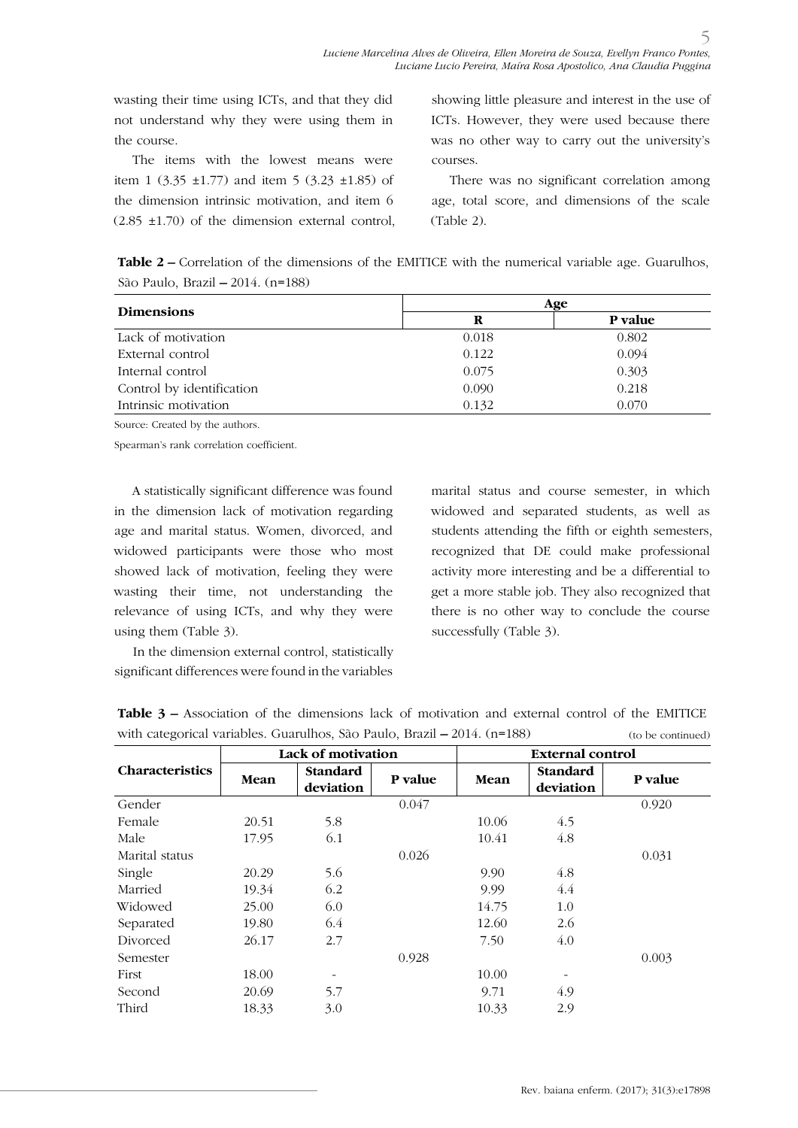wasting their time using ICTs, and that they did not understand why they were using them in the course.

The items with the lowest means were item 1 (3.35  $\pm$ 1.77) and item 5 (3.23  $\pm$ 1.85) of the dimension intrinsic motivation, and item 6  $(2.85 \pm 1.70)$  of the dimension external control, showing little pleasure and interest in the use of ICTs. However, they were used because there was no other way to carry out the university's courses.

5

There was no significant correlation among age, total score, and dimensions of the scale (Table 2).

**Table 2 –** Correlation of the dimensions of the EMITICE with the numerical variable age. Guarulhos, São Paulo, Brazil **–** 2014. (n=188)

|                           |       | Age     |
|---------------------------|-------|---------|
| <b>Dimensions</b>         | R     | P value |
| Lack of motivation        | 0.018 | 0.802   |
| External control          | 0.122 | 0.094   |
| Internal control          | 0.075 | 0.303   |
| Control by identification | 0.090 | 0.218   |
| Intrinsic motivation      | 0.132 | 0.070   |

Source: Created by the authors.

Spearman's rank correlation coefficient.

A statistically significant difference was found in the dimension lack of motivation regarding age and marital status. Women, divorced, and widowed participants were those who most showed lack of motivation, feeling they were wasting their time, not understanding the relevance of using ICTs, and why they were using them (Table 3).

In the dimension external control, statistically significant differences were found in the variables marital status and course semester, in which widowed and separated students, as well as students attending the fifth or eighth semesters, recognized that DE could make professional activity more interesting and be a differential to get a more stable job. They also recognized that there is no other way to conclude the course successfully (Table 3).

| where $\alpha$ and $\alpha$ and $\alpha$ and $\alpha$ and $\alpha$ and $\alpha$ and $\alpha$ and $\alpha$ and $\alpha$ and $\alpha$ and $\alpha$ and $\alpha$ and $\alpha$ and $\alpha$ and $\alpha$ and $\alpha$ and $\alpha$ and $\alpha$ and $\alpha$ and $\alpha$ and $\alpha$ and $\alpha$ and $\alpha$ and $\alpha$ and |       |                              |         | (to be committed)       |                              |         |  |  |
|-------------------------------------------------------------------------------------------------------------------------------------------------------------------------------------------------------------------------------------------------------------------------------------------------------------------------------|-------|------------------------------|---------|-------------------------|------------------------------|---------|--|--|
| <b>Characteristics</b>                                                                                                                                                                                                                                                                                                        |       | Lack of motivation           |         | <b>External control</b> |                              |         |  |  |
|                                                                                                                                                                                                                                                                                                                               | Mean  | <b>Standard</b><br>deviation | P value | <b>Mean</b>             | <b>Standard</b><br>deviation | P value |  |  |
| Gender                                                                                                                                                                                                                                                                                                                        |       |                              | 0.047   |                         |                              | 0.920   |  |  |
| Female                                                                                                                                                                                                                                                                                                                        | 20.51 | 5.8                          |         | 10.06                   | 4.5                          |         |  |  |
| Male                                                                                                                                                                                                                                                                                                                          | 17.95 | 6.1                          |         | 10.41                   | 4.8                          |         |  |  |
| Marital status                                                                                                                                                                                                                                                                                                                |       |                              | 0.026   |                         |                              | 0.031   |  |  |
| Single                                                                                                                                                                                                                                                                                                                        | 20.29 | 5.6                          |         | 9.90                    | 4.8                          |         |  |  |
| Married                                                                                                                                                                                                                                                                                                                       | 19.34 | 6.2                          |         | 9.99                    | 4.4                          |         |  |  |
| Widowed                                                                                                                                                                                                                                                                                                                       | 25.00 | 6.0                          |         | 14.75                   | 1.0                          |         |  |  |
| Separated                                                                                                                                                                                                                                                                                                                     | 19.80 | 6.4                          |         | 12.60                   | 2.6                          |         |  |  |
| Divorced                                                                                                                                                                                                                                                                                                                      | 26.17 | 2.7                          |         | 7.50                    | 4.0                          |         |  |  |
| Semester                                                                                                                                                                                                                                                                                                                      |       |                              | 0.928   |                         |                              | 0.003   |  |  |
| First                                                                                                                                                                                                                                                                                                                         | 18.00 |                              |         | 10.00                   |                              |         |  |  |
| Second                                                                                                                                                                                                                                                                                                                        | 20.69 | 5.7                          |         | 9.71                    | 4.9                          |         |  |  |
| Third                                                                                                                                                                                                                                                                                                                         | 18.33 | 3.0                          |         | 10.33                   | 2.9                          |         |  |  |

**Table 3 –** Association of the dimensions lack of motivation and external control of the EMITICE with categorical variables. Guarulhos, São Paulo, Brazil **–** 2014. (n=188)  $(t_0, b_0, \text{continued})$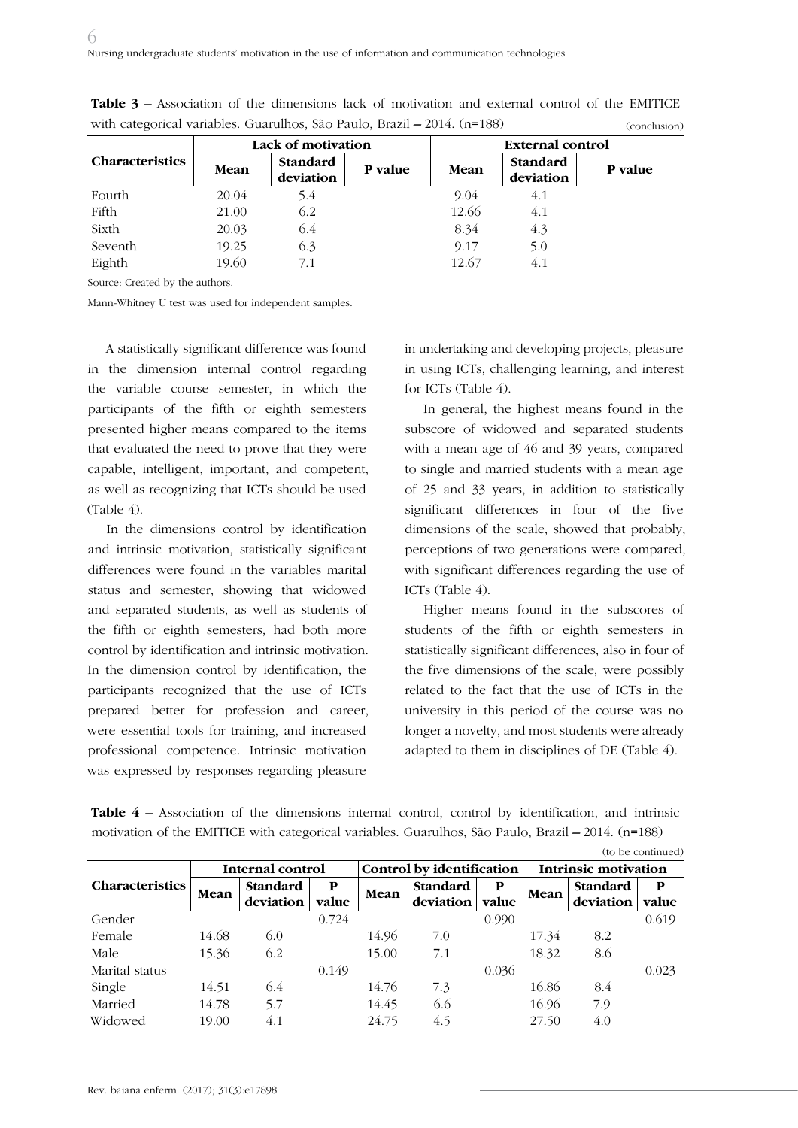|                        |       | Lack of motivation           |         | <b>External control</b> |                       |         |  |
|------------------------|-------|------------------------------|---------|-------------------------|-----------------------|---------|--|
| <b>Characteristics</b> | Mean  | <b>Standard</b><br>deviation | P value | Mean                    | Standard<br>deviation | P value |  |
| Fourth                 | 20.04 | 5.4                          |         | 9.04                    | 4.1                   |         |  |
| Fifth                  | 21.00 | 6.2                          |         | 12.66                   | 4.1                   |         |  |
| Sixth                  | 20.03 | 6.4                          |         | 8.34                    | 4.3                   |         |  |
| Seventh                | 19.25 | 6.3                          |         | 9.17                    | 5.0                   |         |  |
| Eighth                 | 19.60 | 7.1                          |         | 12.67                   | 4.1                   |         |  |

**Table 3 –** Association of the dimensions lack of motivation and external control of the EMITICE with categorical variables. Guarulhos, São Paulo, Brazil **–** 2014. (n=188) (conclusion)

Source: Created by the authors.

Mann-Whitney U test was used for independent samples.

A statistically significant difference was found in the dimension internal control regarding the variable course semester, in which the participants of the fifth or eighth semesters presented higher means compared to the items that evaluated the need to prove that they were capable, intelligent, important, and competent, as well as recognizing that ICTs should be used  $(Table 4)$ 

In the dimensions control by identification and intrinsic motivation, statistically significant differences were found in the variables marital status and semester, showing that widowed and separated students, as well as students of the fifth or eighth semesters, had both more control by identification and intrinsic motivation. In the dimension control by identification, the participants recognized that the use of ICTs prepared better for profession and career, were essential tools for training, and increased professional competence. Intrinsic motivation was expressed by responses regarding pleasure

in undertaking and developing projects, pleasure in using ICTs, challenging learning, and interest for ICTs (Table 4).

In general, the highest means found in the subscore of widowed and separated students with a mean age of 46 and 39 years, compared to single and married students with a mean age of 25 and 33 years, in addition to statistically significant differences in four of the five dimensions of the scale, showed that probably, perceptions of two generations were compared, with significant differences regarding the use of ICTs (Table 4).

Higher means found in the subscores of students of the fifth or eighth semesters in statistically significant differences, also in four of the five dimensions of the scale, were possibly related to the fact that the use of ICTs in the university in this period of the course was no longer a novelty, and most students were already adapted to them in disciplines of DE (Table 4).

| (to be continued)      |                  |                 |                    |          |                           |       |          |                      |       |  |
|------------------------|------------------|-----------------|--------------------|----------|---------------------------|-------|----------|----------------------|-------|--|
|                        | Internal control |                 |                    |          | Control by identification |       |          | Intrinsic motivation |       |  |
| <b>Characteristics</b> |                  | <b>Standard</b> | P<br>Mean<br>value | Standard | P                         |       | Standard | P                    |       |  |
|                        | Mean             | deviation       |                    |          | deviation                 | value | Mean     | deviation            | value |  |
| Gender                 |                  |                 | 0.724              |          |                           | 0.990 |          |                      | 0.619 |  |
| Female                 | 14.68            | 6.0             |                    | 14.96    | 7.0                       |       | 17.34    | 8.2                  |       |  |
| Male                   | 15.36            | 6.2             |                    | 15.00    | 7.1                       |       | 18.32    | 8.6                  |       |  |
| Marital status         |                  |                 | 0.149              |          |                           | 0.036 |          |                      | 0.023 |  |
| Single                 | 14.51            | 6.4             |                    | 14.76    | 7.3                       |       | 16.86    | 8.4                  |       |  |
| Married                | 14.78            | 5.7             |                    | 14.45    | 6.6                       |       | 16.96    | 7.9                  |       |  |
| Widowed                | 19.00            | 4.1             |                    | 24.75    | 4.5                       |       | 27.50    | 4.0                  |       |  |

**Table 4 –** Association of the dimensions internal control, control by identification, and intrinsic motivation of the EMITICE with categorical variables. Guarulhos, São Paulo, Brazil **–** 2014. (n=188)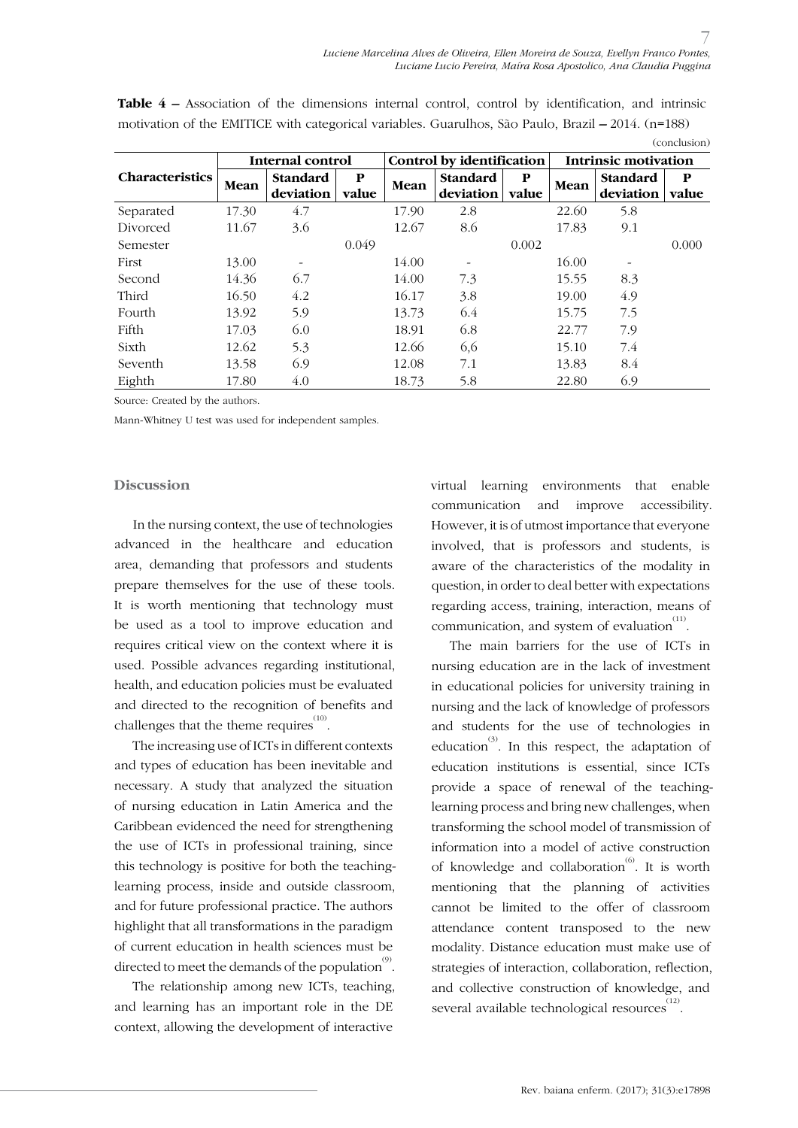|                        |                  |                 |       |       |                           |              |       |                      | CONCIUSION |  |
|------------------------|------------------|-----------------|-------|-------|---------------------------|--------------|-------|----------------------|------------|--|
|                        | Internal control |                 |       |       | Control by identification |              |       | Intrinsic motivation |            |  |
| <b>Characteristics</b> |                  | Standard        | P     |       | Standard                  | $\mathbf{P}$ | Mean  | Standard             | P          |  |
|                        | Mean             | deviation       | value | Mean  | deviation                 | value        |       | deviation            | value      |  |
| Separated              | 17.30            | 4.7             |       | 17.90 | 2.8                       |              | 22.60 | 5.8                  |            |  |
| Divorced               | 11.67            | 3.6             |       | 12.67 | 8.6                       |              | 17.83 | 9.1                  |            |  |
| Semester               |                  |                 | 0.049 |       |                           | 0.002        |       |                      | 0.000      |  |
| First                  | 13.00            | $\qquad \qquad$ |       | 14.00 |                           |              | 16.00 |                      |            |  |
| Second                 | 14.36            | 6.7             |       | 14.00 | 7.3                       |              | 15.55 | 8.3                  |            |  |
| Third                  | 16.50            | 4.2             |       | 16.17 | 3.8                       |              | 19.00 | 4.9                  |            |  |
| Fourth                 | 13.92            | 5.9             |       | 13.73 | 6.4                       |              | 15.75 | 7.5                  |            |  |
| Fifth                  | 17.03            | 6.0             |       | 18.91 | 6.8                       |              | 22.77 | 7.9                  |            |  |
| Sixth                  | 12.62            | 5.3             |       | 12.66 | 6,6                       |              | 15.10 | 7.4                  |            |  |
| Seventh                | 13.58            | 6.9             |       | 12.08 | 7.1                       |              | 13.83 | 8.4                  |            |  |
| Eighth                 | 17.80            | 4.0             |       | 18.73 | 5.8                       |              | 22.80 | 6.9                  |            |  |

**Table 4 –** Association of the dimensions internal control, control by identification, and intrinsic motivation of the EMITICE with categorical variables. Guarulhos, São Paulo, Brazil **–** 2014. (n=188) (conclusion)

Source: Created by the authors.

Mann-Whitney U test was used for independent samples.

#### **Discussion**

In the nursing context, the use of technologies advanced in the healthcare and education area, demanding that professors and students prepare themselves for the use of these tools. It is worth mentioning that technology must be used as a tool to improve education and requires critical view on the context where it is used. Possible advances regarding institutional, health, and education policies must be evaluated and directed to the recognition of benefits and challenges that the theme requires  $^{(10)}$ .

The increasing use of ICTs in different contexts and types of education has been inevitable and necessary. A study that analyzed the situation of nursing education in Latin America and the Caribbean evidenced the need for strengthening the use of ICTs in professional training, since this technology is positive for both the teachinglearning process, inside and outside classroom, and for future professional practice. The authors highlight that all transformations in the paradigm of current education in health sciences must be directed to meet the demands of the population  $\overset{\text{\tiny{(9)}}}{\cdot}$  .

The relationship among new ICTs, teaching, and learning has an important role in the DE context, allowing the development of interactive

virtual learning environments that enable communication and improve accessibility. However, it is of utmost importance that everyone involved, that is professors and students, is aware of the characteristics of the modality in question, in order to deal better with expectations regarding access, training, interaction, means of communication, and system of evaluation  $\overset{(11)}{0}$ .

The main barriers for the use of ICTs in nursing education are in the lack of investment in educational policies for university training in nursing and the lack of knowledge of professors and students for the use of technologies in education<sup>(3)</sup>. In this respect, the adaptation of education institutions is essential, since ICTs provide a space of renewal of the teachinglearning process and bring new challenges, when transforming the school model of transmission of information into a model of active construction of knowledge and collaboration<sup>(6)</sup>. It is worth mentioning that the planning of activities cannot be limited to the offer of classroom attendance content transposed to the new modality. Distance education must make use of strategies of interaction, collaboration, reflection, and collective construction of knowledge, and several available technological resources $^{^{(12)}}$ .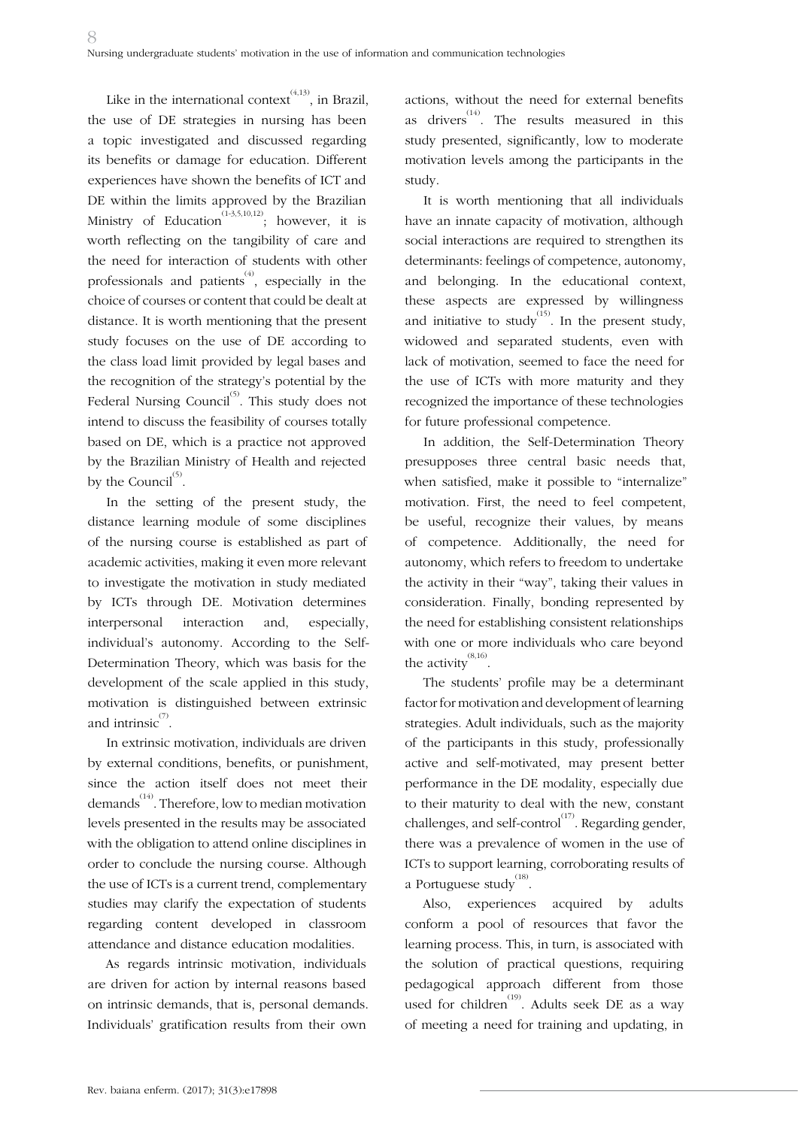Like in the international context<sup> $(4,13)$ </sup>, in Brazil, the use of DE strategies in nursing has been a topic investigated and discussed regarding its benefits or damage for education. Different experiences have shown the benefits of ICT and DE within the limits approved by the Brazilian Ministry of Education<sup>(1-3,5,10,12)</sup>; however, it is worth reflecting on the tangibility of care and the need for interaction of students with other professionals and patients<sup> $(4)$ </sup>, especially in the choice of courses or content that could be dealt at distance. It is worth mentioning that the present study focuses on the use of DE according to the class load limit provided by legal bases and the recognition of the strategy's potential by the Federal Nursing Council<sup>(5)</sup>. This study does not intend to discuss the feasibility of courses totally based on DE, which is a practice not approved by the Brazilian Ministry of Health and rejected by the Council $^{(5)}$ .

In the setting of the present study, the distance learning module of some disciplines of the nursing course is established as part of academic activities, making it even more relevant to investigate the motivation in study mediated by ICTs through DE. Motivation determines interpersonal interaction and, especially, individual's autonomy. According to the Self-Determination Theory, which was basis for the development of the scale applied in this study, motivation is distinguished between extrinsic and intrinsic $\overset{(7)}{\ldots}$ 

In extrinsic motivation, individuals are driven by external conditions, benefits, or punishment, since the action itself does not meet their demands(14). Therefore, low to median motivation levels presented in the results may be associated with the obligation to attend online disciplines in order to conclude the nursing course. Although the use of ICTs is a current trend, complementary studies may clarify the expectation of students regarding content developed in classroom attendance and distance education modalities.

As regards intrinsic motivation, individuals are driven for action by internal reasons based on intrinsic demands, that is, personal demands. Individuals' gratification results from their own

actions, without the need for external benefits as drivers<sup>(14)</sup>. The results measured in this study presented, significantly, low to moderate motivation levels among the participants in the study.

It is worth mentioning that all individuals have an innate capacity of motivation, although social interactions are required to strengthen its determinants: feelings of competence, autonomy, and belonging. In the educational context, these aspects are expressed by willingness and initiative to study<sup>(15)</sup>. In the present study, widowed and separated students, even with lack of motivation, seemed to face the need for the use of ICTs with more maturity and they recognized the importance of these technologies for future professional competence.

In addition, the Self-Determination Theory presupposes three central basic needs that, when satisfied, make it possible to "internalize" motivation. First, the need to feel competent, be useful, recognize their values, by means of competence. Additionally, the need for autonomy, which refers to freedom to undertake the activity in their "way", taking their values in consideration. Finally, bonding represented by the need for establishing consistent relationships with one or more individuals who care beyond the activity  $^{(8,16)}$ .

The students' profile may be a determinant factor for motivation and development of learning strategies. Adult individuals, such as the majority of the participants in this study, professionally active and self-motivated, may present better performance in the DE modality, especially due to their maturity to deal with the new, constant challenges, and self-control<sup> $(17)$ </sup>. Regarding gender, there was a prevalence of women in the use of ICTs to support learning, corroborating results of a Portuguese study $^{(18)}$ .

Also, experiences acquired by adults conform a pool of resources that favor the learning process. This, in turn, is associated with the solution of practical questions, requiring pedagogical approach different from those used for children<sup>(19)</sup>. Adults seek DE as a way of meeting a need for training and updating, in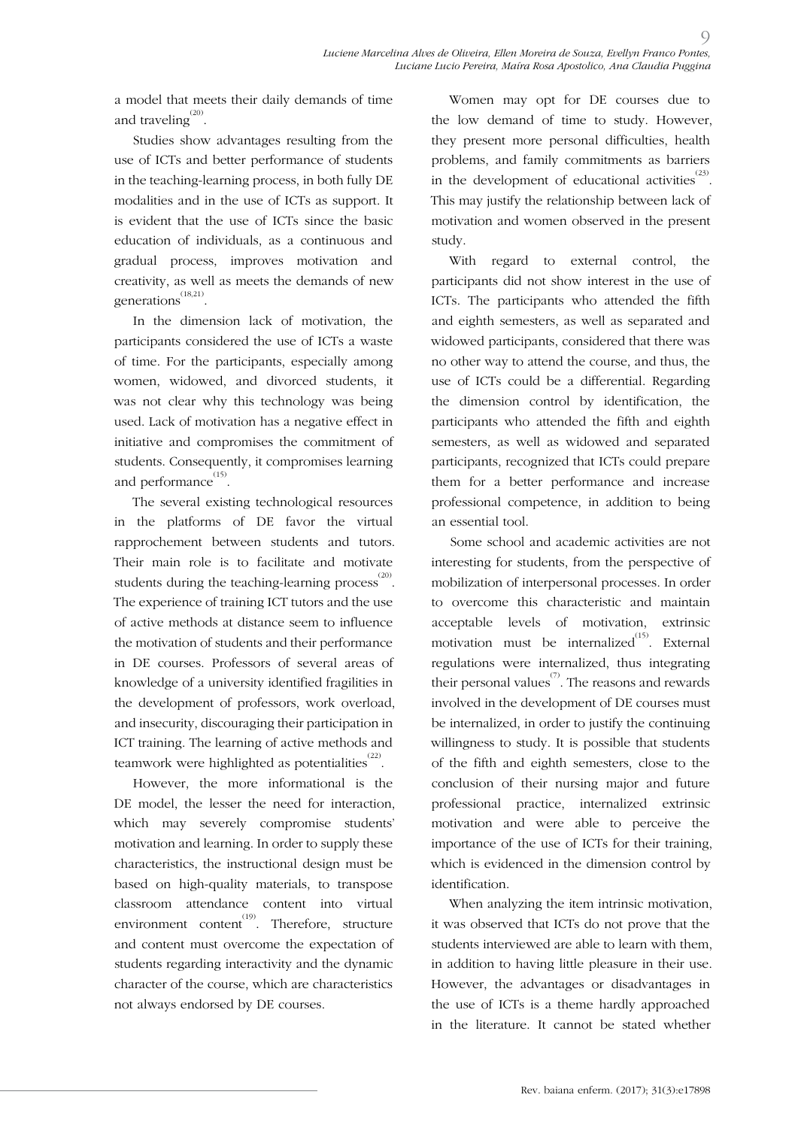a model that meets their daily demands of time and traveling<sup> $(20)$ </sup>.

Studies show advantages resulting from the use of ICTs and better performance of students in the teaching-learning process, in both fully DE modalities and in the use of ICTs as support. It is evident that the use of ICTs since the basic education of individuals, as a continuous and gradual process, improves motivation and creativity, as well as meets the demands of new generations<sup>(18,21)</sup>.

In the dimension lack of motivation, the participants considered the use of ICTs a waste of time. For the participants, especially among women, widowed, and divorced students, it was not clear why this technology was being used. Lack of motivation has a negative effect in initiative and compromises the commitment of students. Consequently, it compromises learning and performance  $^{(15)}$ .

The several existing technological resources in the platforms of DE favor the virtual rapprochement between students and tutors. Their main role is to facilitate and motivate students during the teaching-learning process  $\overset{(20)}{\ldots}$ . The experience of training ICT tutors and the use of active methods at distance seem to influence the motivation of students and their performance in DE courses. Professors of several areas of knowledge of a university identified fragilities in the development of professors, work overload, and insecurity, discouraging their participation in ICT training. The learning of active methods and teamwork were highlighted as potentialities $^{(22)}$ .

However, the more informational is the DE model, the lesser the need for interaction, which may severely compromise students' motivation and learning. In order to supply these characteristics, the instructional design must be based on high-quality materials, to transpose classroom attendance content into virtual environment content<sup>(19)</sup>. Therefore, structure and content must overcome the expectation of students regarding interactivity and the dynamic character of the course, which are characteristics not always endorsed by DE courses.

Women may opt for DE courses due to the low demand of time to study. However, they present more personal difficulties, health problems, and family commitments as barriers in the development of educational activities<sup> $(23)$ </sup>. This may justify the relationship between lack of motivation and women observed in the present study.

With regard to external control, the participants did not show interest in the use of ICTs. The participants who attended the fifth and eighth semesters, as well as separated and widowed participants, considered that there was no other way to attend the course, and thus, the use of ICTs could be a differential. Regarding the dimension control by identification, the participants who attended the fifth and eighth semesters, as well as widowed and separated participants, recognized that ICTs could prepare them for a better performance and increase professional competence, in addition to being an essential tool.

Some school and academic activities are not interesting for students, from the perspective of mobilization of interpersonal processes. In order to overcome this characteristic and maintain acceptable levels of motivation, extrinsic motivation must be internalized $^{(15)}$ . External regulations were internalized, thus integrating their personal values<sup> $(7)$ </sup>. The reasons and rewards involved in the development of DE courses must be internalized, in order to justify the continuing willingness to study. It is possible that students of the fifth and eighth semesters, close to the conclusion of their nursing major and future professional practice, internalized extrinsic motivation and were able to perceive the importance of the use of ICTs for their training, which is evidenced in the dimension control by identification.

When analyzing the item intrinsic motivation, it was observed that ICTs do not prove that the students interviewed are able to learn with them, in addition to having little pleasure in their use. However, the advantages or disadvantages in the use of ICTs is a theme hardly approached in the literature. It cannot be stated whether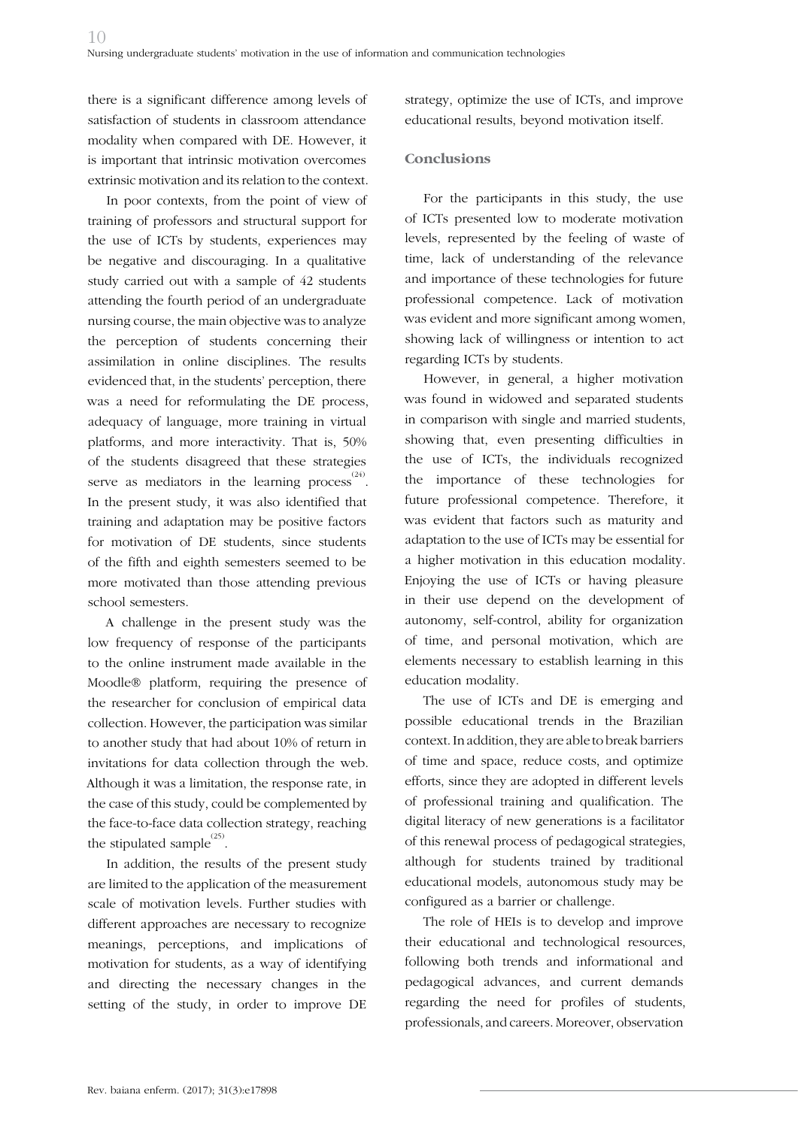there is a significant difference among levels of satisfaction of students in classroom attendance modality when compared with DE. However, it is important that intrinsic motivation overcomes extrinsic motivation and its relation to the context.

In poor contexts, from the point of view of training of professors and structural support for the use of ICTs by students, experiences may be negative and discouraging. In a qualitative study carried out with a sample of 42 students attending the fourth period of an undergraduate nursing course, the main objective was to analyze the perception of students concerning their assimilation in online disciplines. The results evidenced that, in the students' perception, there was a need for reformulating the DE process, adequacy of language, more training in virtual platforms, and more interactivity. That is, 50% of the students disagreed that these strategies serve as mediators in the learning process  $^{(24)}$ . In the present study, it was also identified that training and adaptation may be positive factors for motivation of DE students, since students of the fifth and eighth semesters seemed to be more motivated than those attending previous school semesters.

A challenge in the present study was the low frequency of response of the participants to the online instrument made available in the Moodle® platform, requiring the presence of the researcher for conclusion of empirical data collection. However, the participation was similar to another study that had about 10% of return in invitations for data collection through the web. Although it was a limitation, the response rate, in the case of this study, could be complemented by the face-to-face data collection strategy, reaching the stipulated sample $^{(25)}$ .

In addition, the results of the present study are limited to the application of the measurement scale of motivation levels. Further studies with different approaches are necessary to recognize meanings, perceptions, and implications of motivation for students, as a way of identifying and directing the necessary changes in the setting of the study, in order to improve DE

strategy, optimize the use of ICTs, and improve educational results, beyond motivation itself.

#### **Conclusions**

For the participants in this study, the use of ICTs presented low to moderate motivation levels, represented by the feeling of waste of time, lack of understanding of the relevance and importance of these technologies for future professional competence. Lack of motivation was evident and more significant among women, showing lack of willingness or intention to act regarding ICTs by students.

However, in general, a higher motivation was found in widowed and separated students in comparison with single and married students, showing that, even presenting difficulties in the use of ICTs, the individuals recognized the importance of these technologies for future professional competence. Therefore, it was evident that factors such as maturity and adaptation to the use of ICTs may be essential for a higher motivation in this education modality. Enjoying the use of ICTs or having pleasure in their use depend on the development of autonomy, self-control, ability for organization of time, and personal motivation, which are elements necessary to establish learning in this education modality.

The use of ICTs and DE is emerging and possible educational trends in the Brazilian context. In addition, they are able to break barriers of time and space, reduce costs, and optimize efforts, since they are adopted in different levels of professional training and qualification. The digital literacy of new generations is a facilitator of this renewal process of pedagogical strategies, although for students trained by traditional educational models, autonomous study may be configured as a barrier or challenge.

The role of HEIs is to develop and improve their educational and technological resources, following both trends and informational and pedagogical advances, and current demands regarding the need for profiles of students, professionals, and careers. Moreover, observation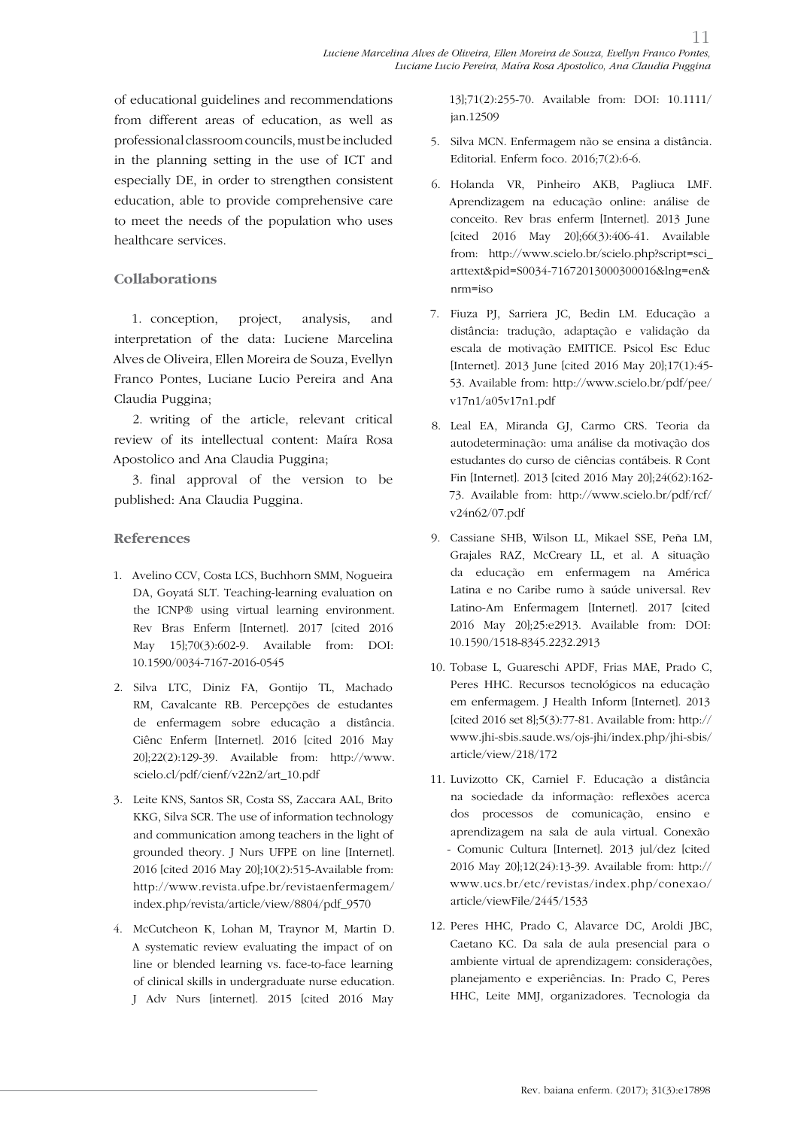of educational guidelines and recommendations from different areas of education, as well as professional classroom councils, must be included in the planning setting in the use of ICT and especially DE, in order to strengthen consistent education, able to provide comprehensive care to meet the needs of the population who uses healthcare services.

### **Collaborations**

1. conception, project, analysis, and interpretation of the data: Luciene Marcelina Alves de Oliveira, Ellen Moreira de Souza, Evellyn Franco Pontes, Luciane Lucio Pereira and Ana Claudia Puggina;

2. writing of the article, relevant critical review of its intellectual content: Maíra Rosa Apostolico and Ana Claudia Puggina;

3. final approval of the version to be published: Ana Claudia Puggina.

### **References**

- 1. Avelino CCV, Costa LCS, Buchhorn SMM, Nogueira DA, Goyatá SLT. Teaching-learning evaluation on the ICNP® using virtual learning environment. Rev Bras Enferm [Internet]. 2017 [cited 2016 May 15];70(3):602-9. Available from: DOI: 10.1590/0034-7167-2016-0545
- 2. Silva LTC, Diniz FA, Gontijo TL, Machado RM, Cavalcante RB. Percepções de estudantes de enfermagem sobre educação a distância. Ciênc Enferm [Internet]. 2016 [cited 2016 May 20];22(2):129-39. Available from: http://www. scielo.cl/pdf/cienf/v22n2/art\_10.pdf
- 3. Leite KNS, Santos SR, Costa SS, Zaccara AAL, Brito KKG, Silva SCR. The use of information technology and communication among teachers in the light of grounded theory. J Nurs UFPE on line [Internet]. 2016 [cited 2016 May 20];10(2):515-Available from: http://www.revista.ufpe.br/revistaenfermagem/ index.php/revista/article/view/8804/pdf\_9570
- 4. McCutcheon K, Lohan M, Traynor M, Martin D. A systematic review evaluating the impact of on line or blended learning vs. face-to-face learning of clinical skills in undergraduate nurse education. J Adv Nurs [internet]. 2015 [cited 2016 May

13];71(2):255-70. Available from: DOI: 10.1111/ jan.12509

- 5. Silva MCN. Enfermagem não se ensina a distância. Editorial. Enferm foco. 2016;7(2):6-6.
- 6. Holanda VR, Pinheiro AKB, Pagliuca LMF. Aprendizagem na educação online: análise de conceito. Rev bras enferm [Internet]. 2013 June [cited 2016 May 20];66(3):406-41. Available from: http://www.scielo.br/scielo.php?script=sci\_ arttext&pid=S0034-71672013000300016&lng=en& nrm=iso
- 7. Fiuza PJ, Sarriera JC, Bedin LM. Educação a distância: tradução, adaptação e validação da escala de motivação EMITICE. Psicol Esc Educ [Internet]. 2013 June [cited 2016 May 20];17(1):45- 53. Available from: http://www.scielo.br/pdf/pee/ v17n1/a05v17n1.pdf
- 8. Leal EA, Miranda GJ, Carmo CRS. Teoria da autodeterminação: uma análise da motivação dos estudantes do curso de ciências contábeis. R Cont Fin [Internet]. 2013 [cited 2016 May 20];24(62):162- 73. Available from: http://www.scielo.br/pdf/rcf/ v24n62/07.pdf
- 9. Cassiane SHB, Wilson LL, Mikael SSE, Peña LM, Grajales RAZ, McCreary LL, et al. A situação da educação em enfermagem na América Latina e no Caribe rumo à saúde universal. Rev Latino-Am Enfermagem [Internet]. 2017 [cited 2016 May 20];25:e2913. Available from: DOI: 10.1590/1518-8345.2232.2913
- 10. Tobase L, Guareschi APDF, Frias MAE, Prado C, Peres HHC. Recursos tecnológicos na educação em enfermagem. J Health Inform [Internet]. 2013 [cited 2016 set 8];5(3):77-81. Available from: http:// www.jhi-sbis.saude.ws/ojs-jhi/index.php/jhi-sbis/ article/view/218/172
- 11. Luvizotto CK, Carniel F. Educação a distância na sociedade da informação: reflexões acerca dos processos de comunicação, ensino e aprendizagem na sala de aula virtual. Conexão - Comunic Cultura [Internet]. 2013 jul/dez [cited 2016 May 20];12(24):13-39. Available from: http:// www.ucs.br/etc/revistas/index.php/conexao/ article/viewFile/2445/1533
- 12. Peres HHC, Prado C, Alavarce DC, Aroldi JBC, Caetano KC. Da sala de aula presencial para o ambiente virtual de aprendizagem: considerações, planejamento e experiências. In: Prado C, Peres HHC, Leite MMJ, organizadores. Tecnologia da